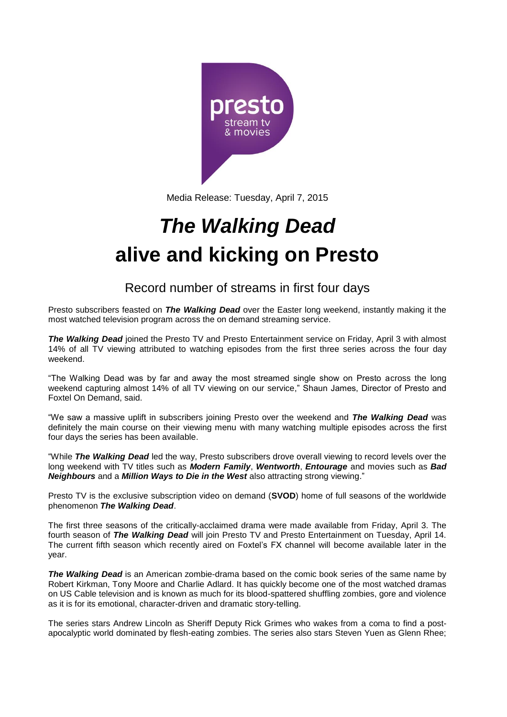

Media Release: Tuesday, April 7, 2015

# *The Walking Dead* **alive and kicking on Presto**

Record number of streams in first four days

Presto subscribers feasted on *The Walking Dead* over the Easter long weekend, instantly making it the most watched television program across the on demand streaming service.

*The Walking Dead* joined the Presto TV and Presto Entertainment service on Friday, April 3 with almost 14% of all TV viewing attributed to watching episodes from the first three series across the four day weekend.

"The Walking Dead was by far and away the most streamed single show on Presto across the long weekend capturing almost 14% of all TV viewing on our service," Shaun James, Director of Presto and Foxtel On Demand, said.

"We saw a massive uplift in subscribers joining Presto over the weekend and *The Walking Dead* was definitely the main course on their viewing menu with many watching multiple episodes across the first four days the series has been available.

"While *The Walking Dead* led the way, Presto subscribers drove overall viewing to record levels over the long weekend with TV titles such as *Modern Family*, *Wentworth*, *Entourage* and movies such as *Bad Neighbours* and a *Million Ways to Die in the West* also attracting strong viewing."

Presto TV is the exclusive subscription video on demand (**SVOD**) home of full seasons of the worldwide phenomenon *The Walking Dead*.

The first three seasons of the critically-acclaimed drama were made available from Friday, April 3. The fourth season of *The Walking Dead* will join Presto TV and Presto Entertainment on Tuesday, April 14. The current fifth season which recently aired on Foxtel's FX channel will become available later in the year.

*The Walking Dead* is an American zombie-drama based on the comic book series of the same name by Robert Kirkman, Tony Moore and Charlie Adlard. It has quickly become one of the most watched dramas on US Cable television and is known as much for its blood-spattered shuffling zombies, gore and violence as it is for its emotional, character-driven and dramatic story-telling.

The series stars Andrew Lincoln as Sheriff Deputy Rick Grimes who wakes from a coma to find a postapocalyptic world dominated by flesh-eating zombies. The series also stars Steven Yuen as Glenn Rhee;